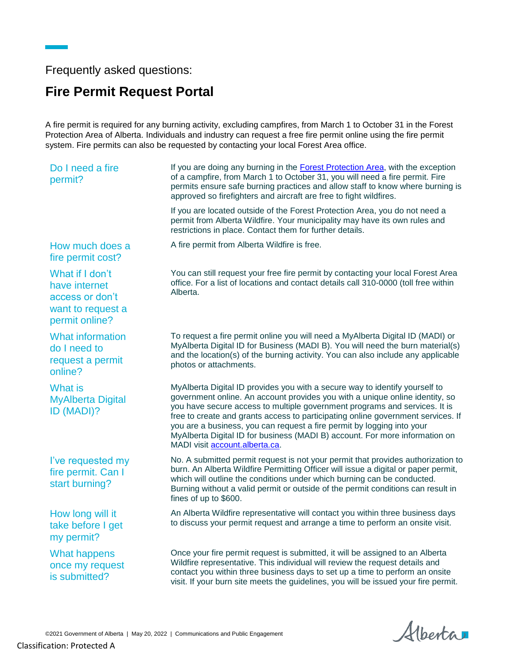Frequently asked questions:

## **Fire Permit Request Portal**

A fire permit is required for any burning activity, excluding campfires, from March 1 to October 31 in the Forest Protection Area of Alberta. Individuals and industry can request a free fire permit online using the fire permit system. Fire permits can also be requested by contacting your local Forest Area office.

| Do I need a fire<br>permit?                                                                | If you are doing any burning in the <b>Forest Protection Area</b> , with the exception<br>of a campfire, from March 1 to October 31, you will need a fire permit. Fire<br>permits ensure safe burning practices and allow staff to know where burning is<br>approved so firefighters and aircraft are free to fight wildfires.                                                                                                                                                                                           |
|--------------------------------------------------------------------------------------------|--------------------------------------------------------------------------------------------------------------------------------------------------------------------------------------------------------------------------------------------------------------------------------------------------------------------------------------------------------------------------------------------------------------------------------------------------------------------------------------------------------------------------|
|                                                                                            | If you are located outside of the Forest Protection Area, you do not need a<br>permit from Alberta Wildfire. Your municipality may have its own rules and<br>restrictions in place. Contact them for further details.                                                                                                                                                                                                                                                                                                    |
| How much does a<br>fire permit cost?                                                       | A fire permit from Alberta Wildfire is free.                                                                                                                                                                                                                                                                                                                                                                                                                                                                             |
| What if I don't<br>have internet<br>access or don't<br>want to request a<br>permit online? | You can still request your free fire permit by contacting your local Forest Area<br>office. For a list of locations and contact details call 310-0000 (toll free within<br>Alberta.                                                                                                                                                                                                                                                                                                                                      |
| <b>What information</b><br>do I need to<br>request a permit<br>online?                     | To request a fire permit online you will need a MyAlberta Digital ID (MADI) or<br>MyAlberta Digital ID for Business (MADI B). You will need the burn material(s)<br>and the location(s) of the burning activity. You can also include any applicable<br>photos or attachments.                                                                                                                                                                                                                                           |
| What is<br><b>MyAlberta Digital</b><br>ID (MADI)?                                          | MyAlberta Digital ID provides you with a secure way to identify yourself to<br>government online. An account provides you with a unique online identity, so<br>you have secure access to multiple government programs and services. It is<br>free to create and grants access to participating online government services. If<br>you are a business, you can request a fire permit by logging into your<br>MyAlberta Digital ID for business (MADI B) account. For more information on<br>MADI visit account.alberta.ca. |
| I've requested my<br>fire permit. Can I<br>start burning?                                  | No. A submitted permit request is not your permit that provides authorization to<br>burn. An Alberta Wildfire Permitting Officer will issue a digital or paper permit,<br>which will outline the conditions under which burning can be conducted.<br>Burning without a valid permit or outside of the permit conditions can result in<br>fines of up to \$600.                                                                                                                                                           |
| How long will it<br>take before I get<br>my permit?                                        | An Alberta Wildfire representative will contact you within three business days<br>to discuss your permit request and arrange a time to perform an onsite visit.                                                                                                                                                                                                                                                                                                                                                          |
| <b>What happens</b><br>once my request<br>is submitted?                                    | Once your fire permit request is submitted, it will be assigned to an Alberta<br>Wildfire representative. This individual will review the request details and<br>contact you within three business days to set up a time to perform an onsite<br>visit. If your burn site meets the guidelines, you will be issued your fire permit.                                                                                                                                                                                     |

©2021 Government of Alberta | May 20, 2022 | Communications and Public Engagement